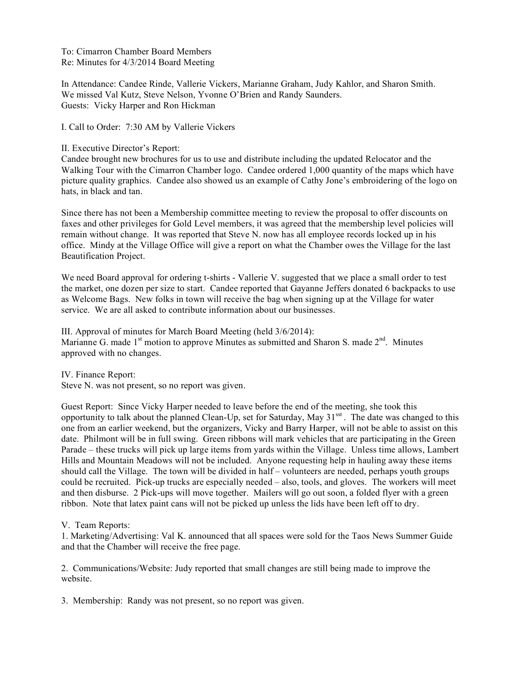To: Cimarron Chamber Board Members Re: Minutes for 4/3/2014 Board Meeting

In Attendance: Candee Rinde, Vallerie Vickers, Marianne Graham, Judy Kahlor, and Sharon Smith. We missed Val Kutz, Steve Nelson, Yvonne O'Brien and Randy Saunders. Guests: Vicky Harper and Ron Hickman

I. Call to Order: 7:30 AM by Vallerie Vickers

II. Executive Director's Report:

Candee brought new brochures for us to use and distribute including the updated Relocator and the Walking Tour with the Cimarron Chamber logo. Candee ordered 1,000 quantity of the maps which have picture quality graphics. Candee also showed us an example of Cathy Jone's embroidering of the logo on hats, in black and tan.

Since there has not been a Membership committee meeting to review the proposal to offer discounts on faxes and other privileges for Gold Level members, it was agreed that the membership level policies will remain without change. It was reported that Steve N. now has all employee records locked up in his office. Mindy at the Village Office will give a report on what the Chamber owes the Village for the last Beautification Project.

We need Board approval for ordering t-shirts - Vallerie V. suggested that we place a small order to test the market, one dozen per size to start. Candee reported that Gayanne Jeffers donated 6 backpacks to use as Welcome Bags. New folks in town will receive the bag when signing up at the Village for water service. We are all asked to contribute information about our businesses.

III. Approval of minutes for March Board Meeting (held 3/6/2014): Marianne G. made  $1<sup>st</sup>$  motion to approve Minutes as submitted and Sharon S. made  $2<sup>nd</sup>$ . Minutes approved with no changes.

IV. Finance Report:

Steve N. was not present, so no report was given.

Guest Report: Since Vicky Harper needed to leave before the end of the meeting, she took this opportunity to talk about the planned Clean-Up, set for Saturday, May  $31<sup>sst</sup>$ . The date was changed to this one from an earlier weekend, but the organizers, Vicky and Barry Harper, will not be able to assist on this date. Philmont will be in full swing. Green ribbons will mark vehicles that are participating in the Green Parade – these trucks will pick up large items from yards within the Village. Unless time allows, Lambert Hills and Mountain Meadows will not be included. Anyone requesting help in hauling away these items should call the Village. The town will be divided in half – volunteers are needed, perhaps youth groups could be recruited. Pick-up trucks are especially needed – also, tools, and gloves. The workers will meet and then disburse. 2 Pick-ups will move together. Mailers will go out soon, a folded flyer with a green ribbon. Note that latex paint cans will not be picked up unless the lids have been left off to dry.

V. Team Reports:

1. Marketing/Advertising: Val K. announced that all spaces were sold for the Taos News Summer Guide and that the Chamber will receive the free page.

2. Communications/Website: Judy reported that small changes are still being made to improve the website.

3. Membership: Randy was not present, so no report was given.